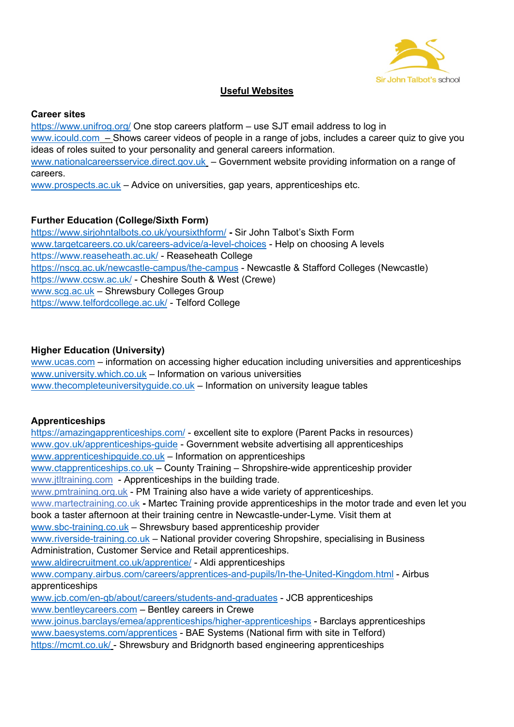

# **Useful Websites**

#### **Career sites**

<https://www.unifrog.org/> One stop careers platform – use SJT email address to log in [www.icould.com](http://www.icould.com/) – Shows career videos of people in a range of jobs, includes a career quiz to give you ideas of roles suited to your personality and general careers information. [www.nationalcareersservice.direct.gov.uk](http://www.nationalcareersservice.direct.gov.uk/) – Government website providing information on a range of careers.

[www.prospects.ac.uk](http://www.prospects.ac.uk/) – Advice on universities, gap years, apprenticeships etc.

# **Further Education (College/Sixth Form)**

<https://www.sirjohntalbots.co.uk/yoursixthform/> **-** Sir John Talbot's Sixth Form [www.targetcareers.co.uk/careers-advice/a-level-choices](http://www.targetcareers.co.uk/careers-advice/a-level-choices) - Help on choosing A levels <https://www.reaseheath.ac.uk/> - Reaseheath College <https://nscg.ac.uk/newcastle-campus/the-campus> - Newcastle & Stafford Colleges (Newcastle) <https://www.ccsw.ac.uk/> - Cheshire South & West (Crewe) [www.scg.ac.uk](http://www.scg.ac.uk/) – Shrewsbury Colleges Group <https://www.telfordcollege.ac.uk/> - Telford College

# **Higher Education (University)**

[www.ucas.com](http://www.ucas.com/) – information on accessing higher education including universities and apprenticeships [www.university.which.co.uk](http://www.university.which.co.uk/) – Information on various universities [www.thecompleteuniversityguide.co.uk](http://www.thecompleteuniversityguide.co.uk/) – Information on university league tables

# **Apprenticeships**

<https://amazingapprenticeships.com/> - excellent site to explore (Parent Packs in resources) [www.gov.uk/apprenticeships-guide](http://www.gov.uk/apprenticeships-guide) - Government website advertising all apprenticeships [www.apprenticeshipguide.co.uk](http://www.apprenticeshipguide.co.uk/) – Information on apprenticeships [www.ctapprenticeships.co.uk](http://www.ctapprenticeships.co.uk/) – County Training – Shropshire-wide apprenticeship provider [www.jtltraining.com](http://www.jtltraining.com/) - Apprenticeships in the building trade. [www.pmtraining.org.uk](http://www.pmtraining.org.uk/) - PM Training also have a wide variety of apprenticeships. [www.martectraining.co.uk](http://www.martectraining.co.uk/) **-** Martec Training provide apprenticeships in the motor trade and even let you book a taster afternoon at their training centre in Newcastle-under-Lyme. Visit them at [www.sbc-training.co.uk](http://www.sbc-training.co.uk/) – Shrewsbury based apprenticeship provider [www.riverside-training.co.uk](http://www.riverside-training.co.uk/) – National provider covering Shropshire, specialising in Business Administration, Customer Service and Retail apprenticeships. [www.aldirecruitment.co.uk/apprentice/](http://www.aldirecruitment.co.uk/apprentice/) - Aldi apprenticeships [www.company.airbus.com/careers/apprentices-and-pupils/In-the-United-Kingdom.html](http://www.company.airbus.com/careers/apprentices-and-pupils/In-the-United-Kingdom.html) - Airbus apprenticeships [www.jcb.com/en-gb/about/careers/students-and-graduates](http://www.jcb.com/en-gb/about/careers/students-and-graduates) - JCB apprenticeships [www.bentleycareers.com](http://www.bentleycareers.com/) – Bentley careers in Crewe [www.joinus.barclays/emea/apprenticeships/higher-apprenticeships](http://www.joinus.barclays/emea/apprenticeships/higher-apprenticeships) - Barclays apprenticeships [www.baesystems.com/apprentices](http://www.baesystems.com/apprentices) - BAE Systems (National firm with site in Telford)

<https://mcmt.co.uk/> - Shrewsbury and Bridgnorth based engineering apprenticeships